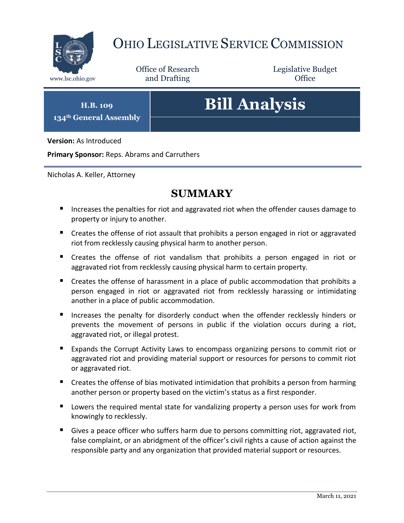

# OHIO LEGISLATIVE SERVICE COMMISSION

Office of Research www.lsc.ohio.gov **and Drafting Office** 

Legislative Budget

**H.B. 109 134th General Assembly**

# **Bill Analysis**

**Version:** As Introduced

**Primary Sponsor:** Reps. Abrams and Carruthers

Nicholas A. Keller, Attorney

### **SUMMARY**

- **IF** Increases the penalties for riot and aggravated riot when the offender causes damage to property or injury to another.
- Creates the offense of riot assault that prohibits a person engaged in riot or aggravated riot from recklessly causing physical harm to another person.
- Creates the offense of riot vandalism that prohibits a person engaged in riot or aggravated riot from recklessly causing physical harm to certain property.
- Creates the offense of harassment in a place of public accommodation that prohibits a person engaged in riot or aggravated riot from recklessly harassing or intimidating another in a place of public accommodation.
- Increases the penalty for disorderly conduct when the offender recklessly hinders or prevents the movement of persons in public if the violation occurs during a riot, aggravated riot, or illegal protest.
- Expands the Corrupt Activity Laws to encompass organizing persons to commit riot or aggravated riot and providing material support or resources for persons to commit riot or aggravated riot.
- **E** Creates the offense of bias motivated intimidation that prohibits a person from harming another person or property based on the victim's status as a first responder.
- **Lowers the required mental state for vandalizing property a person uses for work from** knowingly to recklessly.
- Gives a peace officer who suffers harm due to persons committing riot, aggravated riot, false complaint, or an abridgment of the officer's civil rights a cause of action against the responsible party and any organization that provided material support or resources.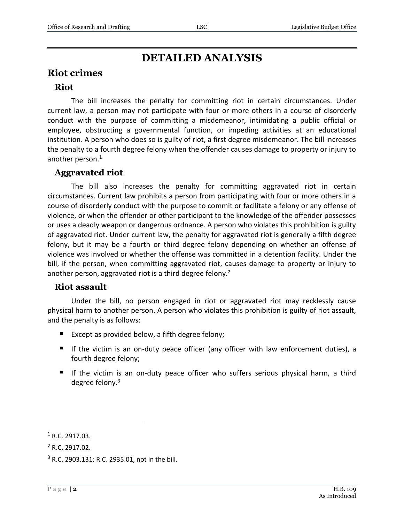## **DETAILED ANALYSIS**

#### **Riot crimes**

#### **Riot**

The bill increases the penalty for committing riot in certain circumstances. Under current law, a person may not participate with four or more others in a course of disorderly conduct with the purpose of committing a misdemeanor, intimidating a public official or employee, obstructing a governmental function, or impeding activities at an educational institution. A person who does so is guilty of riot, a first degree misdemeanor. The bill increases the penalty to a fourth degree felony when the offender causes damage to property or injury to another person.<sup>1</sup>

#### **Aggravated riot**

The bill also increases the penalty for committing aggravated riot in certain circumstances. Current law prohibits a person from participating with four or more others in a course of disorderly conduct with the purpose to commit or facilitate a felony or any offense of violence, or when the offender or other participant to the knowledge of the offender possesses or uses a deadly weapon or dangerous ordnance. A person who violates this prohibition is guilty of aggravated riot. Under current law, the penalty for aggravated riot is generally a fifth degree felony, but it may be a fourth or third degree felony depending on whether an offense of violence was involved or whether the offense was committed in a detention facility. Under the bill, if the person, when committing aggravated riot, causes damage to property or injury to another person, aggravated riot is a third degree felony.<sup>2</sup>

#### **Riot assault**

Under the bill, no person engaged in riot or aggravated riot may recklessly cause physical harm to another person. A person who violates this prohibition is guilty of riot assault, and the penalty is as follows:

- Except as provided below, a fifth degree felony;
- If the victim is an on-duty peace officer (any officer with law enforcement duties), a fourth degree felony;
- If the victim is an on-duty peace officer who suffers serious physical harm, a third degree felony.<sup>3</sup>

 $\overline{a}$ 

 $1$  R.C. 2917.03.

<sup>2</sup> R.C. 2917.02.

<sup>3</sup> R.C. 2903.131; R.C. 2935.01, not in the bill.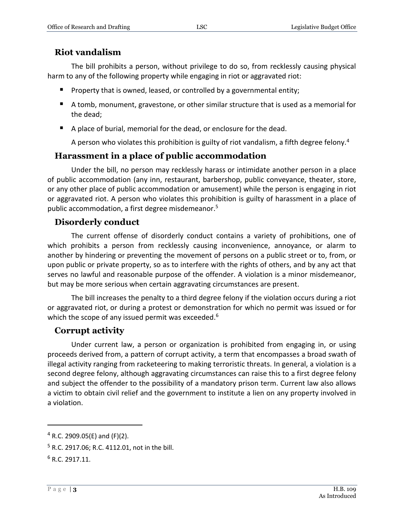#### **Riot vandalism**

The bill prohibits a person, without privilege to do so, from recklessly causing physical harm to any of the following property while engaging in riot or aggravated riot:

- **Property that is owned, leased, or controlled by a governmental entity;**
- A tomb, monument, gravestone, or other similar structure that is used as a memorial for the dead;
- A place of burial, memorial for the dead, or enclosure for the dead.

A person who violates this prohibition is guilty of riot vandalism, a fifth degree felony.<sup>4</sup>

#### **Harassment in a place of public accommodation**

Under the bill, no person may recklessly harass or intimidate another person in a place of public accommodation (any inn, restaurant, barbershop, public conveyance, theater, store, or any other place of public accommodation or amusement) while the person is engaging in riot or aggravated riot. A person who violates this prohibition is guilty of harassment in a place of public accommodation, a first degree misdemeanor.<sup>5</sup>

#### **Disorderly conduct**

The current offense of disorderly conduct contains a variety of prohibitions, one of which prohibits a person from recklessly causing inconvenience, annoyance, or alarm to another by hindering or preventing the movement of persons on a public street or to, from, or upon public or private property, so as to interfere with the rights of others, and by any act that serves no lawful and reasonable purpose of the offender. A violation is a minor misdemeanor, but may be more serious when certain aggravating circumstances are present.

The bill increases the penalty to a third degree felony if the violation occurs during a riot or aggravated riot, or during a protest or demonstration for which no permit was issued or for which the scope of any issued permit was exceeded.<sup>6</sup>

#### **Corrupt activity**

Under current law, a person or organization is prohibited from engaging in, or using proceeds derived from, a pattern of corrupt activity, a term that encompasses a broad swath of illegal activity ranging from racketeering to making terroristic threats. In general, a violation is a second degree felony, although aggravating circumstances can raise this to a first degree felony and subject the offender to the possibility of a mandatory prison term. Current law also allows a victim to obtain civil relief and the government to institute a lien on any property involved in a violation.

 $\overline{a}$ 

<sup>4</sup> R.C. 2909.05(E) and (F)(2).

<sup>5</sup> R.C. 2917.06; R.C. 4112.01, not in the bill.

 $6 R.C. 2917.11.$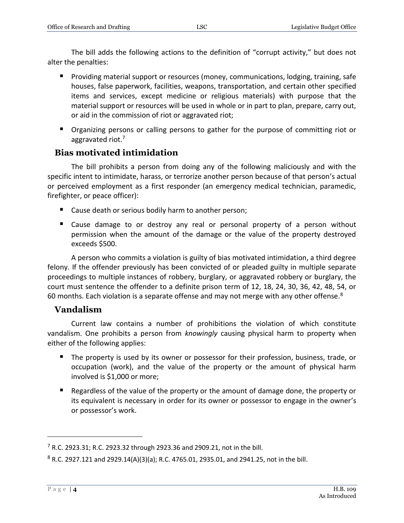The bill adds the following actions to the definition of "corrupt activity," but does not alter the penalties:

- **Providing material support or resources (money, communications, lodging, training, safe** houses, false paperwork, facilities, weapons, transportation, and certain other specified items and services, except medicine or religious materials) with purpose that the material support or resources will be used in whole or in part to plan, prepare, carry out, or aid in the commission of riot or aggravated riot;
- **•** Organizing persons or calling persons to gather for the purpose of committing riot or aggravated riot.<sup>7</sup>

#### **Bias motivated intimidation**

The bill prohibits a person from doing any of the following maliciously and with the specific intent to intimidate, harass, or terrorize another person because of that person's actual or perceived employment as a first responder (an emergency medical technician, paramedic, firefighter, or peace officer):

- Cause death or serious bodily harm to another person;
- Cause damage to or destroy any real or personal property of a person without permission when the amount of the damage or the value of the property destroyed exceeds \$500.

A person who commits a violation is guilty of bias motivated intimidation, a third degree felony. If the offender previously has been convicted of or pleaded guilty in multiple separate proceedings to multiple instances of robbery, burglary, or aggravated robbery or burglary, the court must sentence the offender to a definite prison term of 12, 18, 24, 30, 36, 42, 48, 54, or 60 months. Each violation is a separate offense and may not merge with any other offense. $8$ 

#### **Vandalism**

Current law contains a number of prohibitions the violation of which constitute vandalism. One prohibits a person from *knowingly* causing physical harm to property when either of the following applies:

- The property is used by its owner or possessor for their profession, business, trade, or occupation (work), and the value of the property or the amount of physical harm involved is \$1,000 or more;
- **E** Regardless of the value of the property or the amount of damage done, the property or its equivalent is necessary in order for its owner or possessor to engage in the owner's or possessor's work.

 $\overline{a}$ 

 $7$  R.C. 2923.31; R.C. 2923.32 through 2923.36 and 2909.21, not in the bill.

<sup>8</sup> R.C. 2927.121 and 2929.14(A)(3)(a); R.C. 4765.01, 2935.01, and 2941.25, not in the bill.